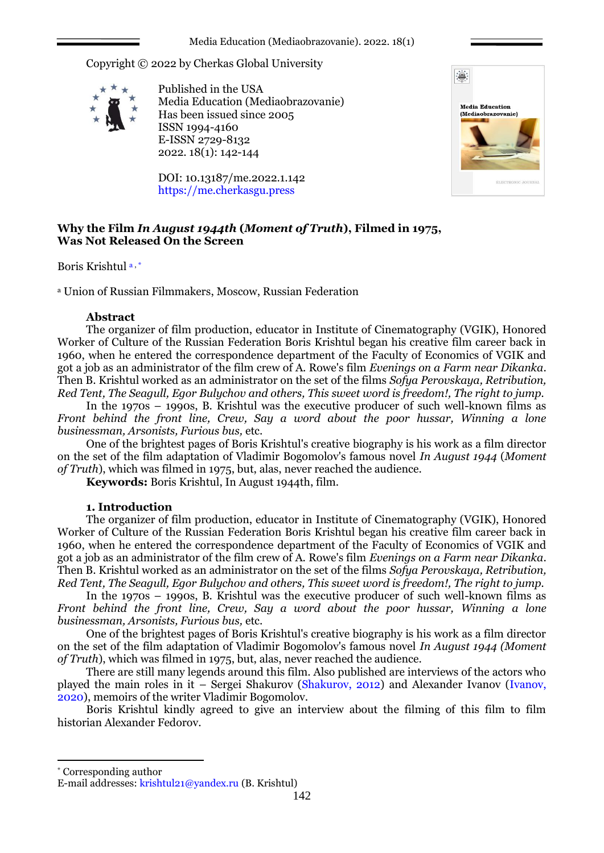Copyright © 2022 by Cherkas Global University



Published in the USA Media Education (Mediaobrazovanie) Has been issued since 2005 ISSN 1994-4160 E-ISSN 2729-8132 2022. 18(1): 142-144

DOI: 10.13187/me.2022.1.142 https://me.cherkasgu.press



# **Why the Film** *In August 1944th* **(***Moment of Truth***), Filmed in 1975, Was Not Released On the Screen**

Boris Krishtul a , \*

<sup>a</sup> Union of Russian Filmmakers, Moscow, Russian Federation

## **Abstract**

The organizer of film production, educator in Institute of Cinematography (VGIK), Honored Worker of Culture of the Russian Federation Boris Krishtul began his creative film career back in 1960, when he entered the correspondence department of the Faculty of Economics of VGIK and got a job as an administrator of the film crew of A. Rowe's film *Evenings on a Farm near Dikanka*. Then B. Krishtul worked as an administrator on the set of the films *Sofya Perovskaya, Retribution, Red Tent, The Seagull, Egor Bulychov and others, This sweet word is freedom!, The right to jump.*

In the 1970s – 1990s, B. Krishtul was the executive producer of such well-known films as *Front behind the front line, Crew, Say a word about the poor hussar, Winning a lone businessman, Arsonists, Furious bus,* etc.

One of the brightest pages of Boris Krishtul's creative biography is his work as a film director on the set of the film adaptation of Vladimir Bogomolov's famous novel *In August 1944* (*Moment of Truth*), which was filmed in 1975, but, alas, never reached the audience.

**Keywords:** Boris Krishtul, In August 1944th, film.

### **1. Introduction**

The organizer of film production, educator in Institute of Cinematography (VGIK), Honored Worker of Culture of the Russian Federation Boris Krishtul began his creative film career back in 1960, when he entered the correspondence department of the Faculty of Economics of VGIK and got a job as an administrator of the film crew of A. Rowe's film *Evenings on a Farm near Dikanka*. Then B. Krishtul worked as an administrator on the set of the films *Sofya Perovskaya, Retribution, Red Tent, The Seagull, Egor Bulychov and others, This sweet word is freedom!, The right to jump.*

In the 1970s – 1990s, B. Krishtul was the executive producer of such well-known films as *Front behind the front line, Crew, Say a word about the poor hussar, Winning a lone businessman, Arsonists, Furious bus,* etc.

One of the brightest pages of Boris Krishtul's creative biography is his work as a film director on the set of the film adaptation of Vladimir Bogomolov's famous novel *In August 1944 (Moment of Truth*), which was filmed in 1975, but, alas, never reached the audience.

There are still many legends around this film. Also published are interviews of the actors who played the main roles in it – Sergei Shakurov (Shakurov, 2012) and Alexander Ivanov (Ivanov, 2020), memoirs of the writer Vladimir Bogomolov.

Boris Krishtul kindly agreed to give an interview about the filming of this film to film historian Alexander Fedorov.

1

Corresponding author

E-mail addresses: krishtul21@yandex.ru (B. Krishtul)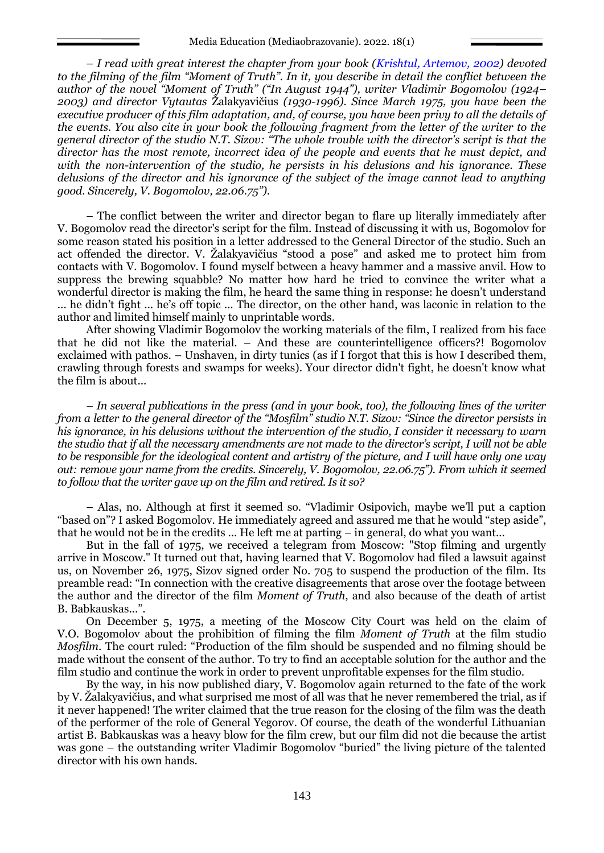– *I read with great interest the chapter from your book (Krishtul, Artemov, 2002) devoted to the filming of the film "Moment of Truth". In it, you describe in detail the conflict between the author of the novel "Moment of Truth" ("In August 1944"), writer Vladimir Bogomolov (1924– 2003) and director Vytautas* Žalakyavičius *(1930-1996). Since March 1975, you have been the executive producer of this film adaptation, and, of course, you have been privy to all the details of the events. You also cite in your book the following fragment from the letter of the writer to the general director of the studio N.T. Sizov: "The whole trouble with the director's script is that the director has the most remote, incorrect idea of the people and events that he must depict, and with the non-intervention of the studio, he persists in his delusions and his ignorance. These delusions of the director and his ignorance of the subject of the image cannot lead to anything good. Sincerely, V. Bogomolov, 22.06.75").*

– The conflict between the writer and director began to flare up literally immediately after V. Bogomolov read the director's script for the film. Instead of discussing it with us, Bogomolov for some reason stated his position in a letter addressed to the General Director of the studio. Such an act offended the director. V. Žalakyavičius "stood a pose" and asked me to protect him from contacts with V. Bogomolov. I found myself between a heavy hammer and a massive anvil. How to suppress the brewing squabble? No matter how hard he tried to convince the writer what a wonderful director is making the film, he heard the same thing in response: he doesn't understand ... he didn't fight ... he's off topic ... The director, on the other hand, was laconic in relation to the author and limited himself mainly to unprintable words.

After showing Vladimir Bogomolov the working materials of the film, I realized from his face that he did not like the material. – And these are counterintelligence officers?! Bogomolov exclaimed with pathos. – Unshaven, in dirty tunics (as if I forgot that this is how I described them, crawling through forests and swamps for weeks). Your director didn't fight, he doesn't know what the film is about...

*– In several publications in the press (and in your book, too), the following lines of the writer from a letter to the general director of the "Mosfilm" studio N.T. Sizov: "Since the director persists in his ignorance, in his delusions without the intervention of the studio, I consider it necessary to warn the studio that if all the necessary amendments are not made to the director's script, I will not be able to be responsible for the ideological content and artistry of the picture, and I will have only one way out: remove your name from the credits. Sincerely, V. Bogomolov, 22.06.75"). From which it seemed to follow that the writer gave up on the film and retired. Is it so?*

– Alas, no. Although at first it seemed so. "Vladimir Osipovich, maybe we'll put a caption "based on"? I asked Bogomolov. He immediately agreed and assured me that he would "step aside", that he would not be in the credits ... He left me at parting – in general, do what you want...

But in the fall of 1975, we received a telegram from Moscow: "Stop filming and urgently arrive in Moscow." It turned out that, having learned that V. Bogomolov had filed a lawsuit against us, on November 26, 1975, Sizov signed order No. 705 to suspend the production of the film. Its preamble read: "In connection with the creative disagreements that arose over the footage between the author and the director of the film *Moment of Truth*, and also because of the death of artist B. Babkauskas...".

On December 5, 1975, a meeting of the Moscow City Court was held on the claim of V.O. Bogomolov about the prohibition of filming the film *Moment of Truth* at the film studio *Mosfilm*. The court ruled: "Production of the film should be suspended and no filming should be made without the consent of the author. To try to find an acceptable solution for the author and the film studio and continue the work in order to prevent unprofitable expenses for the film studio.

By the way, in his now published diary, V. Bogomolov again returned to the fate of the work by V. Žalakyavičius, and what surprised me most of all was that he never remembered the trial, as if it never happened! The writer claimed that the true reason for the closing of the film was the death of the performer of the role of General Yegorov. Of course, the death of the wonderful Lithuanian artist B. Babkauskas was a heavy blow for the film crew, but our film did not die because the artist was gone – the outstanding writer Vladimir Bogomolov "buried" the living picture of the talented director with his own hands.